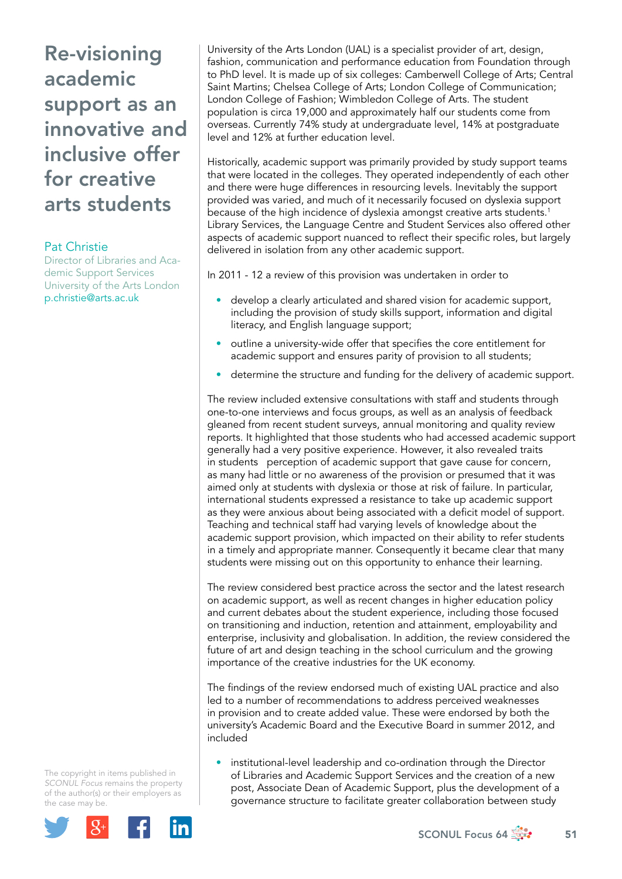## Pat Christie

Director of Libraries and Academic Support Services University of the Arts London p.christie@arts.ac.uk

University of the Arts London (UAL) is a specialist provider of art, design, fashion, communication and performance education from Foundation through to PhD level. It is made up of six colleges: Camberwell College of Arts; Central Saint Martins; Chelsea College of Arts; London College of Communication; London College of Fashion; Wimbledon College of Arts. The student population is circa 19,000 and approximately half our students come from overseas. Currently 74% study at undergraduate level, 14% at postgraduate level and 12% at further education level.

Historically, academic support was primarily provided by study support teams that were located in the colleges. They operated independently of each other and there were huge differences in resourcing levels. Inevitably the support provided was varied, and much of it necessarily focused on dyslexia support because of the high incidence of dyslexia amongst creative arts students.<sup>1</sup> Library Services, the Language Centre and Student Services also offered other aspects of academic support nuanced to reflect their specific roles, but largely delivered in isolation from any other academic support.

In 2011 - 12 a review of this provision was undertaken in order to

- develop a clearly articulated and shared vision for academic support, including the provision of study skills support, information and digital literacy, and English language support;
- outline a university-wide offer that specifies the core entitlement for academic support and ensures parity of provision to all students;
- determine the structure and funding for the delivery of academic support.

The review included extensive consultations with staff and students through one-to-one interviews and focus groups, as well as an analysis of feedback gleaned from recent student surveys, annual monitoring and quality review reports. It highlighted that those students who had accessed academic support generally had a very positive experience. However, it also revealed traits in students perception of academic support that gave cause for concern, as many had little or no awareness of the provision or presumed that it was aimed only at students with dyslexia or those at risk of failure. In particular, international students expressed a resistance to take up academic support as they were anxious about being associated with a deficit model of support. Teaching and technical staff had varying levels of knowledge about the academic support provision, which impacted on their ability to refer students in a timely and appropriate manner. Consequently it became clear that many students were missing out on this opportunity to enhance their learning.

The review considered best practice across the sector and the latest research on academic support, as well as recent changes in higher education policy and current debates about the student experience, including those focused on transitioning and induction, retention and attainment, employability and enterprise, inclusivity and globalisation. In addition, the review considered the future of art and design teaching in the school curriculum and the growing importance of the creative industries for the UK economy.

The findings of the review endorsed much of existing UAL practice and also led to a number of recommendations to address perceived weaknesses in provision and to create added value. These were endorsed by both the university's Academic Board and the Executive Board in summer 2012, and included

• institutional-level leadership and co-ordination through the Director of Libraries and Academic Support Services and the creation of a new post, Associate Dean of Academic Support, plus the development of a governance structure to facilitate greater collaboration between study

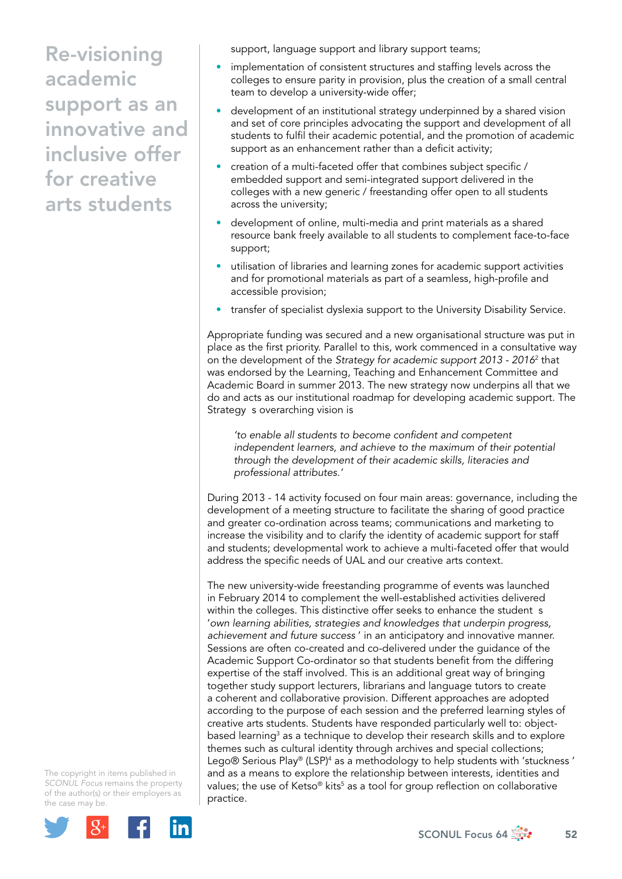support, language support and library support teams;

- implementation of consistent structures and staffing levels across the colleges to ensure parity in provision, plus the creation of a small central team to develop a university-wide offer;
- development of an institutional strategy underpinned by a shared vision and set of core principles advocating the support and development of all students to fulfil their academic potential, and the promotion of academic support as an enhancement rather than a deficit activity;
- creation of a multi-faceted offer that combines subject specific / embedded support and semi-integrated support delivered in the colleges with a new generic / freestanding offer open to all students across the university;
- development of online, multi-media and print materials as a shared resource bank freely available to all students to complement face-to-face support;
- utilisation of libraries and learning zones for academic support activities and for promotional materials as part of a seamless, high-profile and accessible provision;
- transfer of specialist dyslexia support to the University Disability Service.

Appropriate funding was secured and a new organisational structure was put in place as the first priority. Parallel to this, work commenced in a consultative way on the development of the *Strategy for academic support 2013 - 2016*<sup>2</sup> that was endorsed by the Learning, Teaching and Enhancement Committee and Academic Board in summer 2013. The new strategy now underpins all that we do and acts as our institutional roadmap for developing academic support. The Strategy s overarching vision is

*'to enable all students to become confident and competent independent learners, and achieve to the maximum of their potential through the development of their academic skills, literacies and professional attributes.'* 

During 2013 - 14 activity focused on four main areas: governance, including the development of a meeting structure to facilitate the sharing of good practice and greater co-ordination across teams; communications and marketing to increase the visibility and to clarify the identity of academic support for staff and students; developmental work to achieve a multi-faceted offer that would address the specific needs of UAL and our creative arts context.

The new university-wide freestanding programme of events was launched in February 2014 to complement the well-established activities delivered within the colleges. This distinctive offer seeks to enhance the student s '*own learning abilities, strategies and knowledges that underpin progress, achievement and future success* ' in an anticipatory and innovative manner. Sessions are often co-created and co-delivered under the guidance of the Academic Support Co-ordinator so that students benefit from the differing expertise of the staff involved. This is an additional great way of bringing together study support lecturers, librarians and language tutors to create a coherent and collaborative provision. Different approaches are adopted according to the purpose of each session and the preferred learning styles of creative arts students. Students have responded particularly well to: objectbased learning<sup>3</sup> as a technique to develop their research skills and to explore themes such as cultural identity through archives and special collections; Lego® Serious Play® (LSP)<sup>4</sup> as a methodology to help students with 'stuckness ' and as a means to explore the relationship between interests, identities and values; the use of Ketso® kits<sup>5</sup> as a tool for group reflection on collaborative practice.

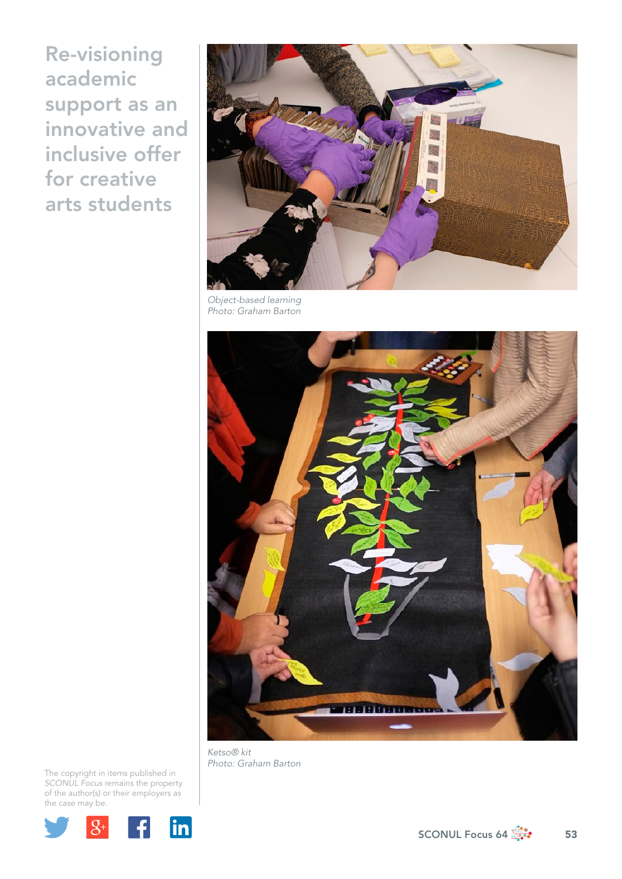

*Object-based learning Photo: Graham Barton* 



*Ketso® kit Photo: Graham Barton* 

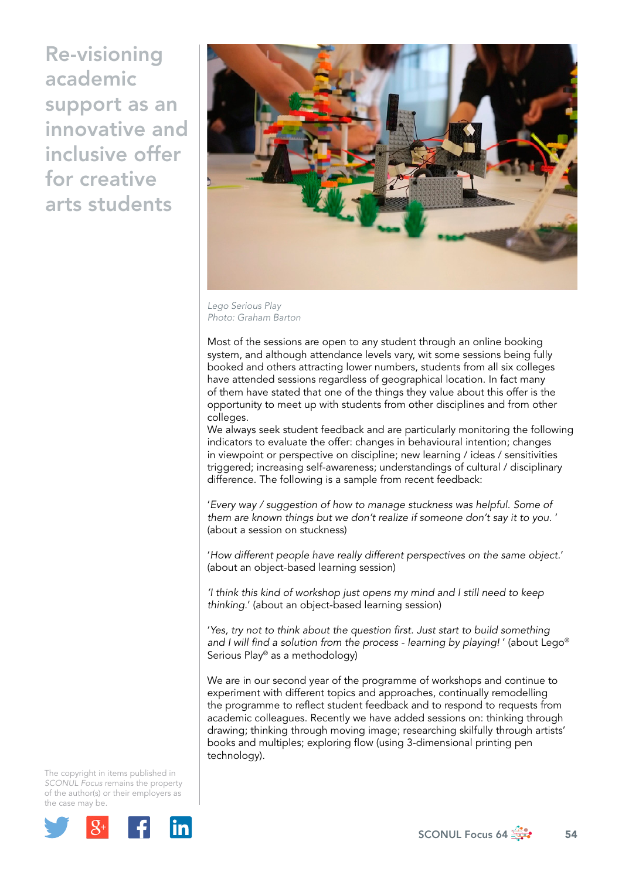

*Lego Serious Play Photo: Graham Barton*

Most of the sessions are open to any student through an online booking system, and although attendance levels vary, wit some sessions being fully booked and others attracting lower numbers, students from all six colleges have attended sessions regardless of geographical location. In fact many of them have stated that one of the things they value about this offer is the opportunity to meet up with students from other disciplines and from other colleges.

We always seek student feedback and are particularly monitoring the following indicators to evaluate the offer: changes in behavioural intention; changes in viewpoint or perspective on discipline; new learning / ideas / sensitivities triggered; increasing self-awareness; understandings of cultural / disciplinary difference. The following is a sample from recent feedback:

'*Every way / suggestion of how to manage stuckness was helpful. Some of them are known things but we don't realize if someone don't say it to you.* ' (about a session on stuckness)

'*How different people have really different perspectives on the same object.*' (about an object-based learning session)

*'I think this kind of workshop just opens my mind and I still need to keep thinking.*' (about an object-based learning session)

'*Yes, try not to think about the question first. Just start to build something and I will find a solution from the process - learning by playing!* ' (about Lego® Serious Play® as a methodology)

We are in our second year of the programme of workshops and continue to experiment with different topics and approaches, continually remodelling the programme to reflect student feedback and to respond to requests from academic colleagues. Recently we have added sessions on: thinking through drawing; thinking through moving image; researching skilfully through artists' books and multiples; exploring flow (using 3-dimensional printing pen technology).

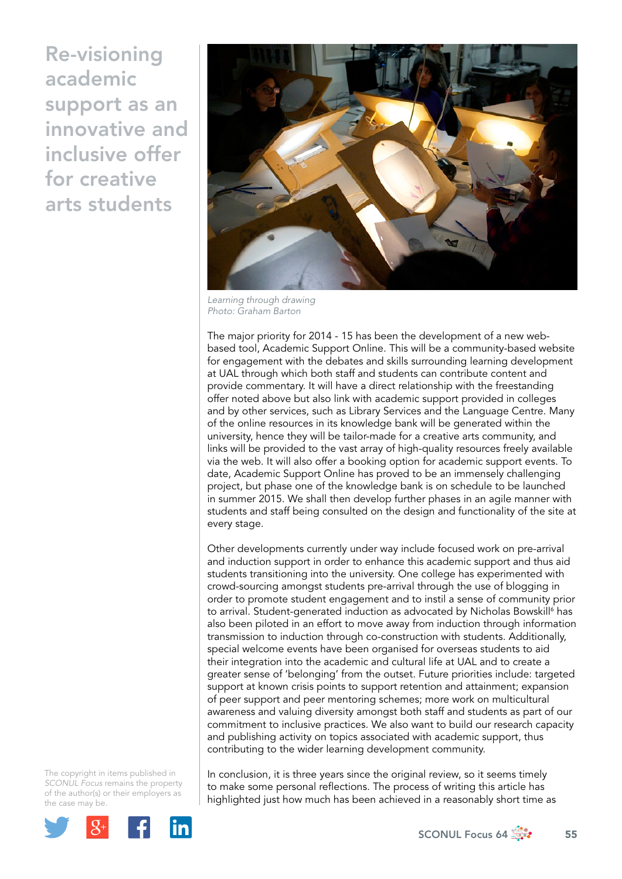

*Learning through drawing Photo: Graham Barton*

The major priority for 2014 - 15 has been the development of a new webbased tool, Academic Support Online. This will be a community-based website for engagement with the debates and skills surrounding learning development at UAL through which both staff and students can contribute content and provide commentary. It will have a direct relationship with the freestanding offer noted above but also link with academic support provided in colleges and by other services, such as Library Services and the Language Centre. Many of the online resources in its knowledge bank will be generated within the university, hence they will be tailor-made for a creative arts community, and links will be provided to the vast array of high-quality resources freely available via the web. It will also offer a booking option for academic support events. To date, Academic Support Online has proved to be an immensely challenging project, but phase one of the knowledge bank is on schedule to be launched in summer 2015. We shall then develop further phases in an agile manner with students and staff being consulted on the design and functionality of the site at every stage.

Other developments currently under way include focused work on pre-arrival and induction support in order to enhance this academic support and thus aid students transitioning into the university. One college has experimented with crowd-sourcing amongst students pre-arrival through the use of blogging in order to promote student engagement and to instil a sense of community prior to arrival. Student-generated induction as advocated by Nicholas Bowskill<sup>6</sup> has also been piloted in an effort to move away from induction through information transmission to induction through co-construction with students. Additionally, special welcome events have been organised for overseas students to aid their integration into the academic and cultural life at UAL and to create a greater sense of 'belonging' from the outset. Future priorities include: targeted support at known crisis points to support retention and attainment; expansion of peer support and peer mentoring schemes; more work on multicultural awareness and valuing diversity amongst both staff and students as part of our commitment to inclusive practices. We also want to build our research capacity and publishing activity on topics associated with academic support, thus contributing to the wider learning development community.

The copyright in items published in *SCONUL Focus* remains the property of the author(s) or their employers as the case m[ay be.](http://plus.google.com/share?url=http://www.sconul.ac.uk/page/focus-64)



In conclusion, it is three years since the original review, so it seems timely to make some personal reflections. The process of writing this article has highlighted just how much has been achieved in a reasonably short time as